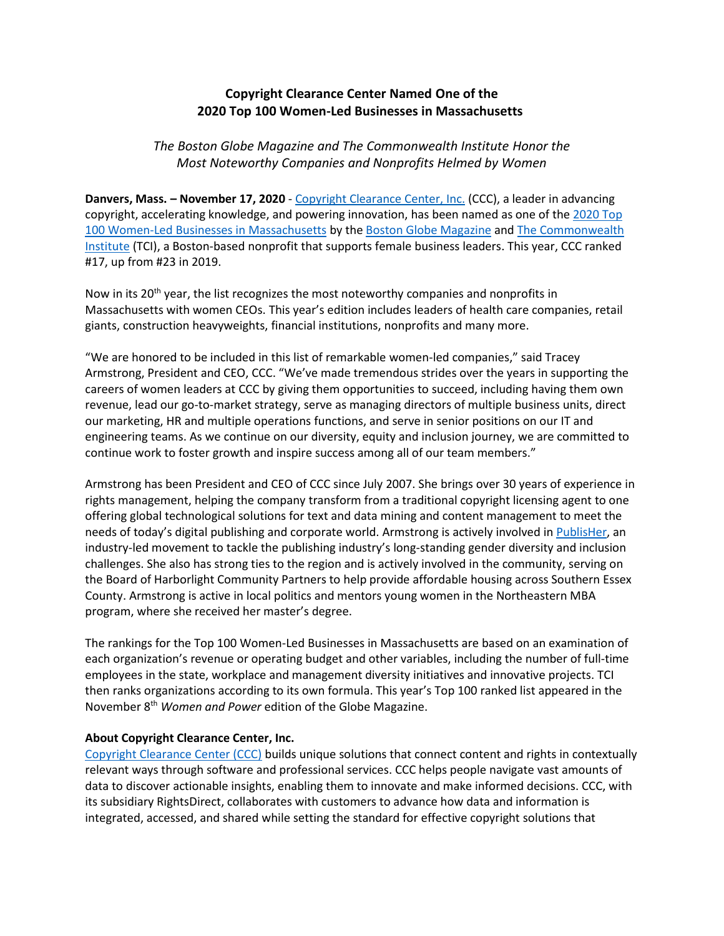## **Copyright Clearance Center Named One of the 2020 Top 100 Women-Led Businesses in Massachusetts**

*The Boston Globe Magazine and The Commonwealth Institute Honor the Most Noteworthy Companies and Nonprofits Helmed by Women*

**Danvers, Mass. – November 17, 2020** - [Copyright Clearance Center, Inc.](http://www.copyright.com/) (CCC), a leader in advancing copyright, accelerating knowledge, and powering innovation, has been named as one of the [2020](https://www.bostonglobe.com/2020/11/06/magazine/2020-top-100-women-led-businesses-massachusetts/) Top [100 Women-Led Businesses in Massachusetts](https://www.bostonglobe.com/2020/11/06/magazine/2020-top-100-women-led-businesses-massachusetts/) by the [Boston Globe Magazine](https://www.bostonglobe.com/magazine/aboutthemagazine) and [The Commonwealth](http://commonwealthinstitute.org/)  [Institute](http://commonwealthinstitute.org/) (TCI), a Boston-based nonprofit that supports female business leaders. This year, CCC ranked #17, up from #23 in 2019.

Now in its  $20^{th}$  year, the list recognizes the most noteworthy companies and nonprofits in Massachusetts with women CEOs. This year's edition includes leaders of health care companies, retail giants, construction heavyweights, financial institutions, nonprofits and many more.

"We are honored to be included in this list of remarkable women-led companies," said Tracey Armstrong, President and CEO, CCC. "We've made tremendous strides over the years in supporting the careers of women leaders at CCC by giving them opportunities to succeed, including having them own revenue, lead our go-to-market strategy, serve as managing directors of multiple business units, direct our marketing, HR and multiple operations functions, and serve in senior positions on our IT and engineering teams. As we continue on our diversity, equity and inclusion journey, we are committed to continue work to foster growth and inspire success among all of our team members."

Armstrong has been President and CEO of CCC since July 2007. She brings over 30 years of experience in rights management, helping the company transform from a traditional copyright licensing agent to one offering global technological solutions for text and data mining and content management to meet the needs of today's digital publishing and corporate world. Armstrong is actively involved i[n PublisHer,](https://womeninpublishing.org/) an industry-led movement to tackle the publishing industry's long-standing gender diversity and inclusion challenges. She also has strong ties to the region and is actively involved in the community, serving on the Board of Harborlight Community Partners to help provide affordable housing across Southern Essex County. Armstrong is active in local politics and mentors young women in the Northeastern MBA program, where she received her master's degree.

The rankings for the Top 100 Women-Led Businesses in Massachusetts are based on an examination of each organization's revenue or operating budget and other variables, including the number of full-time employees in the state, workplace and management diversity initiatives and innovative projects. TCI then ranks organizations according to its own formula. This year's Top 100 ranked list appeared in the November 8th *Women and Power* edition of the Globe Magazine.

## **About Copyright Clearance Center, Inc.**

[Copyright Clearance Center \(CCC\)](https://www.copyright.com/) builds unique solutions that connect content and rights in contextually relevant ways through software and professional services. CCC helps people navigate vast amounts of data to discover actionable insights, enabling them to innovate and make informed decisions. CCC, with its subsidiary RightsDirect, collaborates with customers to advance how data and information is integrated, accessed, and shared while setting the standard for effective copyright solutions that